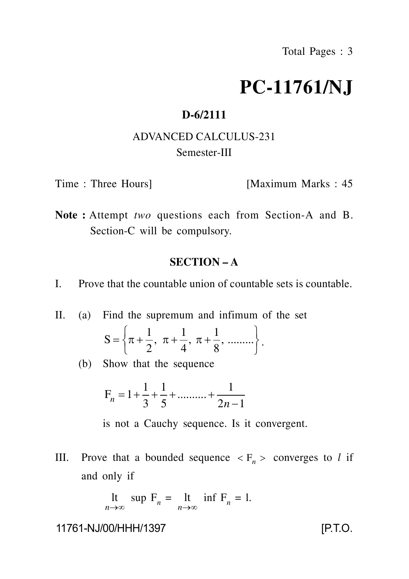# **PC-11761/NJ**

## **D-6/2111**

# ADVANCED CALCULUS-231 Semester-III

Time : Three Hours] [Maximum Marks : 45]

**Note :** Attempt *two* questions each from Section-A and B. Section-C will be compulsory.

### **SECTION – A**

- I. Prove that the countable union of countable sets is countable.
- II. (a) Find the supremum and infimum of the set

$$
S = \left\{ \pi + \frac{1}{2}, \ \pi + \frac{1}{4}, \ \pi + \frac{1}{8}, \ \dots \dots \dots \right\}.
$$

(b) Show that the sequence

$$
F_n = 1 + \frac{1}{3} + \frac{1}{5} + \dots + \frac{1}{2n - 1}
$$

is not a Cauchy sequence. Is it convergent.

III. Prove that a bounded sequence  $\langle F_n \rangle$  converges to *l* if and only if

$$
\begin{array}{ll}\n\text{lt} & \text{sup } \mathbf{F}_n = \text{lt} & \text{inf } \mathbf{F}_n = 1. \\
\text{at} & \text{if } \mathbf{F}_n = 1.\n\end{array}
$$

11761-NJ/00/HHH/1397 [P.T.O.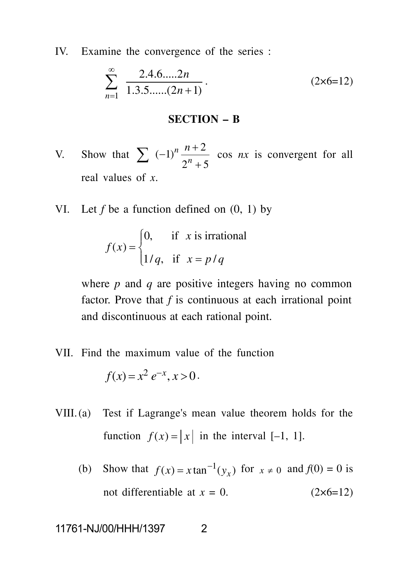IV. Examine the convergence of the series :

$$
\sum_{n=1}^{\infty} \frac{2.4.6.....2n}{1.3.5.....(2n+1)}.
$$
 (2×6=12)

#### **SECTION – B**

- V. Show that  $\sum$  $2^n + 5$  $(-1)^n \frac{n+2}{n}$  cos *nx* is convergent for all  $\sum$   $(-1)^n \frac{n+2}{2^n+5}$  cos *nx* is convergent for all  $\frac{n+2}{2n}$  cos *nx* is convergent for all real values of *x*.
- VI. Let *f* be a function defined on (0, 1) by

$$
f(x) = \begin{cases} 0, & \text{if } x \text{ is irrational} \\ 1/q, & \text{if } x = p/q \end{cases}
$$

where *p* and *q* are positive integers having no common factor. Prove that *f* is continuous at each irrational point and discontinuous at each rational point.

VII. Find the maximum value of the function

$$
f(x) = x^2 e^{-x}, x > 0.
$$

- VIII.(a) Test if Lagrange's mean value theorem holds for the function  $f(x) = |x|$  in the interval [-1, 1].
	- (b) Show that  $f(x) = x \tan^{-1}(y_x)$  for  $x \ne 0$  and  $f(0) = 0$  is not differentiable at  $x = 0$ . (2×6=12)

11761-NJ/00/HHH/1397 2